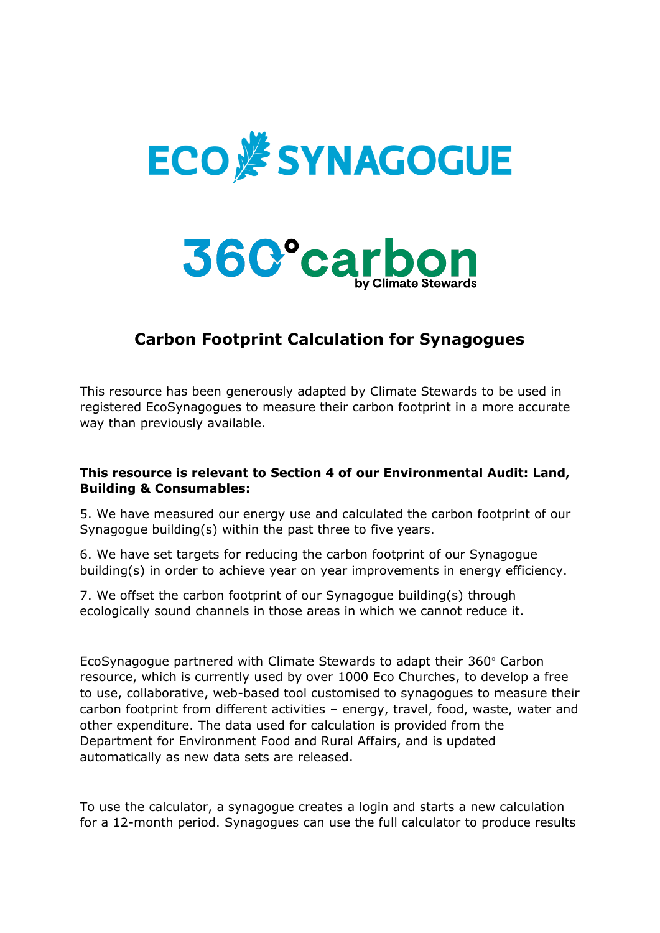



## **Carbon Footprint Calculation for Synagogues**

This resource has been generously adapted by Climate Stewards to be used in registered EcoSynagogues to measure their carbon footprint in a more accurate way than previously available.

## **This resource is relevant to Section 4 of our Environmental Audit: Land, Building & Consumables:**

5. We have measured our energy use and calculated the carbon footprint of our Synagogue building(s) within the past three to five years.

6. We have set targets for reducing the carbon footprint of our Synagogue building(s) in order to achieve year on year improvements in energy efficiency.

7. We offset the carbon footprint of our Synagogue building(s) through ecologically sound channels in those areas in which we cannot reduce it.

EcoSynagogue partnered with Climate Stewards to adapt their 360° Carbon resource, which is currently used by over 1000 Eco Churches, to develop a free to use, collaborative, web-based tool customised to synagogues to measure their carbon footprint from different activities – energy, travel, food, waste, water and other expenditure. The data used for calculation is provided from the Department for Environment Food and Rural Affairs, and is updated automatically as new data sets are released.

To use the calculator, a synagogue creates a login and starts a new calculation for a 12-month period. Synagogues can use the full calculator to produce results